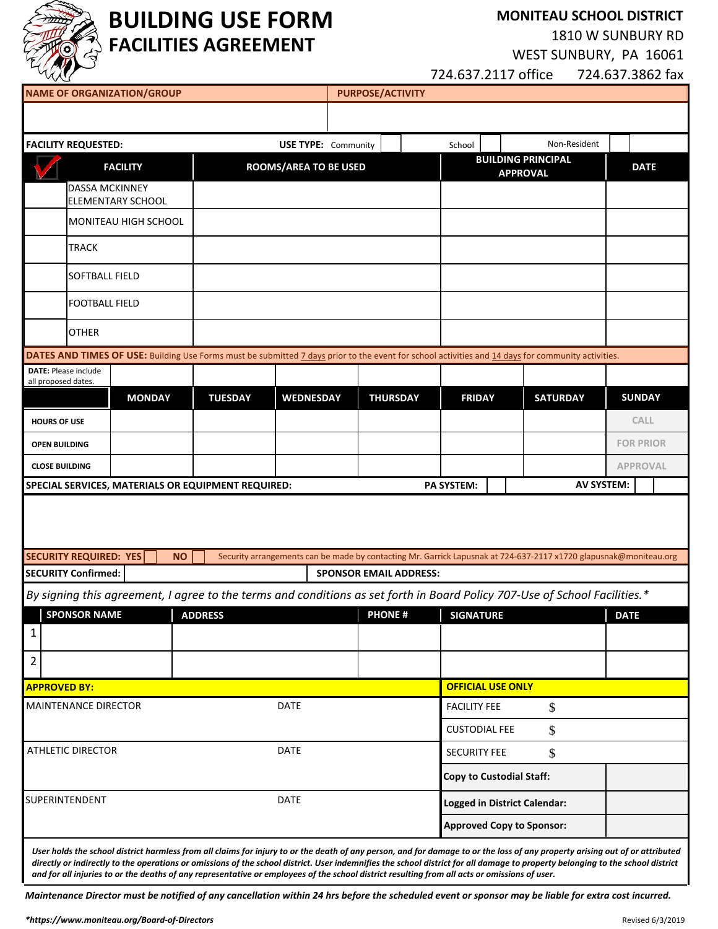

# **BUILDING USE FORM FACILITIES AGREEMENT**

**MONITEAU SCHOOL DISTRICT** 

1810 W SUNBURY RD

WEST SUNBURY, PA 16061

724.637.2117 office 724.637.3862 fax

| <b>NAME OF ORGANIZATION/GROUP</b><br><b>PURPOSE/ACTIVITY</b>                                                                                       |                                    |                 |                      |                                              |                                                                                                                   |  |
|----------------------------------------------------------------------------------------------------------------------------------------------------|------------------------------------|-----------------|----------------------|----------------------------------------------|-------------------------------------------------------------------------------------------------------------------|--|
|                                                                                                                                                    |                                    |                 |                      |                                              |                                                                                                                   |  |
| <b>FACILITY REQUESTED:</b>                                                                                                                         | <b>USE TYPE: Community</b>         |                 | School               |                                              | Non-Resident                                                                                                      |  |
| <b>FACILITY</b>                                                                                                                                    | <b>ROOMS/AREA TO BE USED</b>       |                 |                      | <b>BUILDING PRINCIPAL</b><br><b>APPROVAL</b> | <b>DATE</b>                                                                                                       |  |
| <b>DASSA MCKINNEY</b>                                                                                                                              |                                    |                 |                      |                                              |                                                                                                                   |  |
| <b>ELEMENTARY SCHOOL</b><br>MONITEAU HIGH SCHOOL                                                                                                   |                                    |                 |                      |                                              |                                                                                                                   |  |
|                                                                                                                                                    |                                    |                 |                      |                                              |                                                                                                                   |  |
| <b>TRACK</b>                                                                                                                                       |                                    |                 |                      |                                              |                                                                                                                   |  |
| <b>SOFTBALL FIELD</b>                                                                                                                              |                                    |                 |                      |                                              |                                                                                                                   |  |
| <b>FOOTBALL FIELD</b>                                                                                                                              |                                    |                 |                      |                                              |                                                                                                                   |  |
| <b>OTHER</b>                                                                                                                                       |                                    |                 |                      |                                              |                                                                                                                   |  |
| DATES AND TIMES OF USE: Building Use Forms must be submitted 7 days prior to the event for school activities and 14 days for community activities. |                                    |                 |                      |                                              |                                                                                                                   |  |
| <b>DATE: Please include</b><br>all proposed dates.                                                                                                 |                                    |                 |                      |                                              |                                                                                                                   |  |
| <b>MONDAY</b>                                                                                                                                      | <b>TUESDAY</b><br><b>WEDNESDAY</b> | <b>THURSDAY</b> | <b>FRIDAY</b>        | <b>SATURDAY</b>                              | <b>SUNDAY</b>                                                                                                     |  |
| <b>HOURS OF USE</b>                                                                                                                                |                                    |                 |                      |                                              | <b>CALL</b>                                                                                                       |  |
| <b>OPEN BUILDING</b>                                                                                                                               |                                    |                 |                      |                                              | <b>FOR PRIOR</b>                                                                                                  |  |
| <b>CLOSE BUILDING</b>                                                                                                                              |                                    |                 |                      |                                              | <b>APPROVAL</b>                                                                                                   |  |
| SPECIAL SERVICES, MATERIALS OR EQUIPMENT REQUIRED:                                                                                                 |                                    |                 | <b>PA SYSTEM:</b>    |                                              | <b>AV SYSTEM:</b>                                                                                                 |  |
|                                                                                                                                                    |                                    |                 |                      |                                              |                                                                                                                   |  |
|                                                                                                                                                    |                                    |                 |                      |                                              |                                                                                                                   |  |
| <b>SECURITY REQUIRED: YES</b><br><b>NO</b>                                                                                                         |                                    |                 |                      |                                              | Security arrangements can be made by contacting Mr. Garrick Lapusnak at 724-637-2117 x1720 glapusnak@moniteau.org |  |
| <b>SECURITY Confirmed:</b><br><b>SPONSOR EMAIL ADDRESS:</b>                                                                                        |                                    |                 |                      |                                              |                                                                                                                   |  |
| By signing this agreement, I agree to the terms and conditions as set forth in Board Policy 707-Use of School Facilities.*                         |                                    |                 |                      |                                              |                                                                                                                   |  |
| <b>SPONSOR NAME</b>                                                                                                                                | <b>ADDRESS</b>                     | <b>PHONE#</b>   | <b>SIGNATURE</b>     |                                              | <b>DATE</b>                                                                                                       |  |
| $\mathbf{1}$                                                                                                                                       |                                    |                 |                      |                                              |                                                                                                                   |  |
| $\overline{2}$                                                                                                                                     |                                    |                 |                      |                                              |                                                                                                                   |  |
| <b>APPROVED BY:</b>                                                                                                                                |                                    |                 |                      | <b>OFFICIAL USE ONLY</b>                     |                                                                                                                   |  |
| <b>DATE</b><br>MAINTENANCE DIRECTOR                                                                                                                |                                    |                 | <b>FACILITY FEE</b>  | \$                                           |                                                                                                                   |  |
|                                                                                                                                                    |                                    |                 | <b>CUSTODIAL FEE</b> | \$                                           |                                                                                                                   |  |
| DATE<br><b>ATHLETIC DIRECTOR</b>                                                                                                                   |                                    |                 | <b>SECURITY FEE</b>  | \$                                           |                                                                                                                   |  |
|                                                                                                                                                    |                                    |                 |                      | <b>Copy to Custodial Staff:</b>              |                                                                                                                   |  |
| SUPERINTENDENT<br>DATE                                                                                                                             |                                    |                 |                      | <b>Logged in District Calendar:</b>          |                                                                                                                   |  |
|                                                                                                                                                    |                                    |                 |                      |                                              |                                                                                                                   |  |
|                                                                                                                                                    |                                    |                 |                      | <b>Approved Copy to Sponsor:</b>             |                                                                                                                   |  |

*directly or indirectly to the operations or omissions of the school district. User indemnifies the school district for all damage to property belonging to the school district and for all injuries to or the deaths of any representative or employees of the school district resulting from all acts or omissions of user.*

*Maintenance Director must be notified of any cancellation within 24 hrs before the scheduled event or sponsor may be liable for extra cost incurred.*